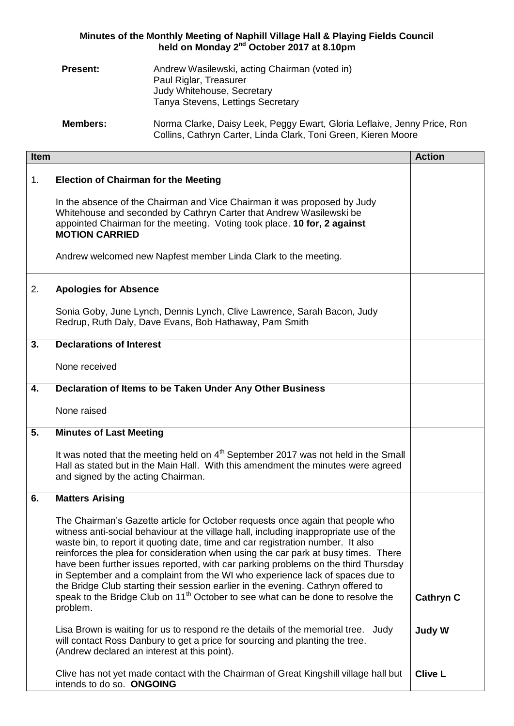## **Minutes of the Monthly Meeting of Naphill Village Hall & Playing Fields Council held on Monday 2 nd October 2017 at 8.10pm**

| <b>Present:</b> | Andrew Wasilewski, acting Chairman (voted in) |
|-----------------|-----------------------------------------------|
|                 | Paul Riglar, Treasurer                        |
|                 | Judy Whitehouse, Secretary                    |
|                 | Tanya Stevens, Lettings Secretary             |
|                 |                                               |

**Members:** Norma Clarke, Daisy Leek, Peggy Ewart, Gloria Leflaive, Jenny Price, Ron Collins, Cathryn Carter, Linda Clark, Toni Green, Kieren Moore

| <b>Item</b> |                                                                                                                                                                                                                                                                                                                                                                                                                                                                                                                                                                                                                                                                                                                         | <b>Action</b>    |
|-------------|-------------------------------------------------------------------------------------------------------------------------------------------------------------------------------------------------------------------------------------------------------------------------------------------------------------------------------------------------------------------------------------------------------------------------------------------------------------------------------------------------------------------------------------------------------------------------------------------------------------------------------------------------------------------------------------------------------------------------|------------------|
| 1.          | <b>Election of Chairman for the Meeting</b>                                                                                                                                                                                                                                                                                                                                                                                                                                                                                                                                                                                                                                                                             |                  |
|             | In the absence of the Chairman and Vice Chairman it was proposed by Judy<br>Whitehouse and seconded by Cathryn Carter that Andrew Wasilewski be<br>appointed Chairman for the meeting. Voting took place. 10 for, 2 against<br><b>MOTION CARRIED</b><br>Andrew welcomed new Napfest member Linda Clark to the meeting.                                                                                                                                                                                                                                                                                                                                                                                                  |                  |
|             |                                                                                                                                                                                                                                                                                                                                                                                                                                                                                                                                                                                                                                                                                                                         |                  |
| 2.          | <b>Apologies for Absence</b>                                                                                                                                                                                                                                                                                                                                                                                                                                                                                                                                                                                                                                                                                            |                  |
|             | Sonia Goby, June Lynch, Dennis Lynch, Clive Lawrence, Sarah Bacon, Judy<br>Redrup, Ruth Daly, Dave Evans, Bob Hathaway, Pam Smith                                                                                                                                                                                                                                                                                                                                                                                                                                                                                                                                                                                       |                  |
| 3.          | <b>Declarations of Interest</b>                                                                                                                                                                                                                                                                                                                                                                                                                                                                                                                                                                                                                                                                                         |                  |
|             | None received                                                                                                                                                                                                                                                                                                                                                                                                                                                                                                                                                                                                                                                                                                           |                  |
| 4.          | Declaration of Items to be Taken Under Any Other Business                                                                                                                                                                                                                                                                                                                                                                                                                                                                                                                                                                                                                                                               |                  |
|             | None raised                                                                                                                                                                                                                                                                                                                                                                                                                                                                                                                                                                                                                                                                                                             |                  |
| 5.          | <b>Minutes of Last Meeting</b>                                                                                                                                                                                                                                                                                                                                                                                                                                                                                                                                                                                                                                                                                          |                  |
|             | It was noted that the meeting held on 4 <sup>th</sup> September 2017 was not held in the Small<br>Hall as stated but in the Main Hall. With this amendment the minutes were agreed<br>and signed by the acting Chairman.                                                                                                                                                                                                                                                                                                                                                                                                                                                                                                |                  |
| 6.          | <b>Matters Arising</b>                                                                                                                                                                                                                                                                                                                                                                                                                                                                                                                                                                                                                                                                                                  |                  |
|             | The Chairman's Gazette article for October requests once again that people who<br>witness anti-social behaviour at the village hall, including inappropriate use of the<br>waste bin, to report it quoting date, time and car registration number. It also<br>reinforces the plea for consideration when using the car park at busy times. There<br>have been further issues reported, with car parking problems on the third Thursday<br>in September and a complaint from the WI who experience lack of spaces due to<br>the Bridge Club starting their session earlier in the evening. Cathryn offered to<br>speak to the Bridge Club on 11 <sup>th</sup> October to see what can be done to resolve the<br>problem. | <b>Cathryn C</b> |
|             |                                                                                                                                                                                                                                                                                                                                                                                                                                                                                                                                                                                                                                                                                                                         |                  |
|             | Lisa Brown is waiting for us to respond re the details of the memorial tree. Judy<br>will contact Ross Danbury to get a price for sourcing and planting the tree.<br>(Andrew declared an interest at this point).                                                                                                                                                                                                                                                                                                                                                                                                                                                                                                       | <b>Judy W</b>    |
|             | Clive has not yet made contact with the Chairman of Great Kingshill village hall but<br>intends to do so. ONGOING                                                                                                                                                                                                                                                                                                                                                                                                                                                                                                                                                                                                       | <b>Clive L</b>   |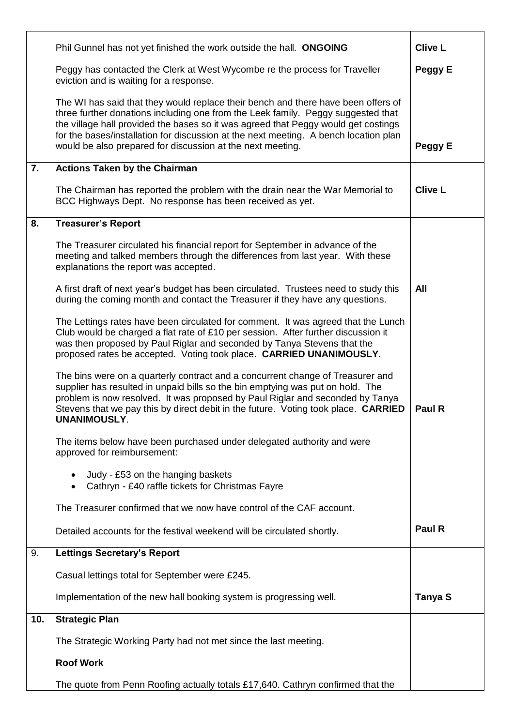|     | Phil Gunnel has not yet finished the work outside the hall. ONGOING                                                                                                                                                                                                                                                                                                                                               | <b>Clive L</b> |
|-----|-------------------------------------------------------------------------------------------------------------------------------------------------------------------------------------------------------------------------------------------------------------------------------------------------------------------------------------------------------------------------------------------------------------------|----------------|
|     | Peggy has contacted the Clerk at West Wycombe re the process for Traveller<br>eviction and is waiting for a response.                                                                                                                                                                                                                                                                                             | Peggy E        |
|     | The WI has said that they would replace their bench and there have been offers of<br>three further donations including one from the Leek family. Peggy suggested that<br>the village hall provided the bases so it was agreed that Peggy would get costings<br>for the bases/installation for discussion at the next meeting. A bench location plan<br>would be also prepared for discussion at the next meeting. | Peggy E        |
| 7.  | <b>Actions Taken by the Chairman</b>                                                                                                                                                                                                                                                                                                                                                                              |                |
|     | The Chairman has reported the problem with the drain near the War Memorial to<br>BCC Highways Dept. No response has been received as yet.                                                                                                                                                                                                                                                                         | <b>Clive L</b> |
| 8.  | <b>Treasurer's Report</b>                                                                                                                                                                                                                                                                                                                                                                                         |                |
|     | The Treasurer circulated his financial report for September in advance of the<br>meeting and talked members through the differences from last year. With these<br>explanations the report was accepted.                                                                                                                                                                                                           |                |
|     | A first draft of next year's budget has been circulated. Trustees need to study this<br>during the coming month and contact the Treasurer if they have any questions.                                                                                                                                                                                                                                             | All            |
|     | The Lettings rates have been circulated for comment. It was agreed that the Lunch<br>Club would be charged a flat rate of £10 per session. After further discussion it<br>was then proposed by Paul Riglar and seconded by Tanya Stevens that the<br>proposed rates be accepted. Voting took place. CARRIED UNANIMOUSLY.                                                                                          |                |
|     | The bins were on a quarterly contract and a concurrent change of Treasurer and<br>supplier has resulted in unpaid bills so the bin emptying was put on hold. The<br>problem is now resolved. It was proposed by Paul Riglar and seconded by Tanya<br>Stevens that we pay this by direct debit in the future. Voting took place. CARRIED<br>UNANIMOUSLY.                                                           | Paul R         |
|     | The items below have been purchased under delegated authority and were<br>approved for reimbursement:                                                                                                                                                                                                                                                                                                             |                |
|     | Judy - £53 on the hanging baskets<br>Cathryn - £40 raffle tickets for Christmas Fayre                                                                                                                                                                                                                                                                                                                             |                |
|     | The Treasurer confirmed that we now have control of the CAF account.                                                                                                                                                                                                                                                                                                                                              |                |
|     | Detailed accounts for the festival weekend will be circulated shortly.                                                                                                                                                                                                                                                                                                                                            | Paul R         |
| 9.  | <b>Lettings Secretary's Report</b>                                                                                                                                                                                                                                                                                                                                                                                |                |
|     | Casual lettings total for September were £245.                                                                                                                                                                                                                                                                                                                                                                    |                |
|     | Implementation of the new hall booking system is progressing well.                                                                                                                                                                                                                                                                                                                                                | Tanya S        |
| 10. | <b>Strategic Plan</b>                                                                                                                                                                                                                                                                                                                                                                                             |                |
|     | The Strategic Working Party had not met since the last meeting.                                                                                                                                                                                                                                                                                                                                                   |                |
|     | <b>Roof Work</b>                                                                                                                                                                                                                                                                                                                                                                                                  |                |
|     | The quote from Penn Roofing actually totals £17,640. Cathryn confirmed that the                                                                                                                                                                                                                                                                                                                                   |                |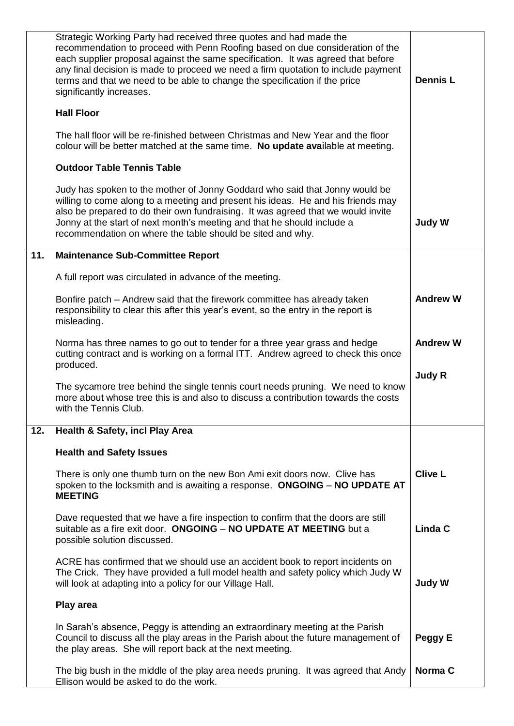|     | Strategic Working Party had received three quotes and had made the<br>recommendation to proceed with Penn Roofing based on due consideration of the<br>each supplier proposal against the same specification. It was agreed that before<br>any final decision is made to proceed we need a firm quotation to include payment<br>terms and that we need to be able to change the specification if the price<br>significantly increases. | <b>Dennis L</b> |
|-----|----------------------------------------------------------------------------------------------------------------------------------------------------------------------------------------------------------------------------------------------------------------------------------------------------------------------------------------------------------------------------------------------------------------------------------------|-----------------|
|     | <b>Hall Floor</b>                                                                                                                                                                                                                                                                                                                                                                                                                      |                 |
|     | The hall floor will be re-finished between Christmas and New Year and the floor<br>colour will be better matched at the same time. No update available at meeting.                                                                                                                                                                                                                                                                     |                 |
|     | <b>Outdoor Table Tennis Table</b>                                                                                                                                                                                                                                                                                                                                                                                                      |                 |
|     | Judy has spoken to the mother of Jonny Goddard who said that Jonny would be<br>willing to come along to a meeting and present his ideas. He and his friends may<br>also be prepared to do their own fundraising. It was agreed that we would invite<br>Jonny at the start of next month's meeting and that he should include a<br>recommendation on where the table should be sited and why.                                           | <b>Judy W</b>   |
| 11. | <b>Maintenance Sub-Committee Report</b>                                                                                                                                                                                                                                                                                                                                                                                                |                 |
|     | A full report was circulated in advance of the meeting.                                                                                                                                                                                                                                                                                                                                                                                |                 |
|     | Bonfire patch – Andrew said that the firework committee has already taken<br>responsibility to clear this after this year's event, so the entry in the report is<br>misleading.                                                                                                                                                                                                                                                        | <b>Andrew W</b> |
|     | Norma has three names to go out to tender for a three year grass and hedge<br>cutting contract and is working on a formal ITT. Andrew agreed to check this once<br>produced.                                                                                                                                                                                                                                                           | <b>Andrew W</b> |
|     | The sycamore tree behind the single tennis court needs pruning. We need to know<br>more about whose tree this is and also to discuss a contribution towards the costs<br>with the Tennis Club.                                                                                                                                                                                                                                         | <b>Judy R</b>   |
| 12. | <b>Health &amp; Safety, incl Play Area</b>                                                                                                                                                                                                                                                                                                                                                                                             |                 |
|     | <b>Health and Safety Issues</b>                                                                                                                                                                                                                                                                                                                                                                                                        |                 |
|     | There is only one thumb turn on the new Bon Ami exit doors now. Clive has<br>spoken to the locksmith and is awaiting a response. ONGOING - NO UPDATE AT<br><b>MEETING</b>                                                                                                                                                                                                                                                              | <b>Clive L</b>  |
|     | Dave requested that we have a fire inspection to confirm that the doors are still<br>suitable as a fire exit door. ONGOING - NO UPDATE AT MEETING but a<br>possible solution discussed.                                                                                                                                                                                                                                                | Linda C         |
|     | ACRE has confirmed that we should use an accident book to report incidents on<br>The Crick. They have provided a full model health and safety policy which Judy W<br>will look at adapting into a policy for our Village Hall.                                                                                                                                                                                                         | <b>Judy W</b>   |
|     | Play area                                                                                                                                                                                                                                                                                                                                                                                                                              |                 |
|     | In Sarah's absence, Peggy is attending an extraordinary meeting at the Parish<br>Council to discuss all the play areas in the Parish about the future management of<br>the play areas. She will report back at the next meeting.                                                                                                                                                                                                       | Peggy E         |
|     | The big bush in the middle of the play area needs pruning. It was agreed that Andy<br>Ellison would be asked to do the work.                                                                                                                                                                                                                                                                                                           | Norma C         |